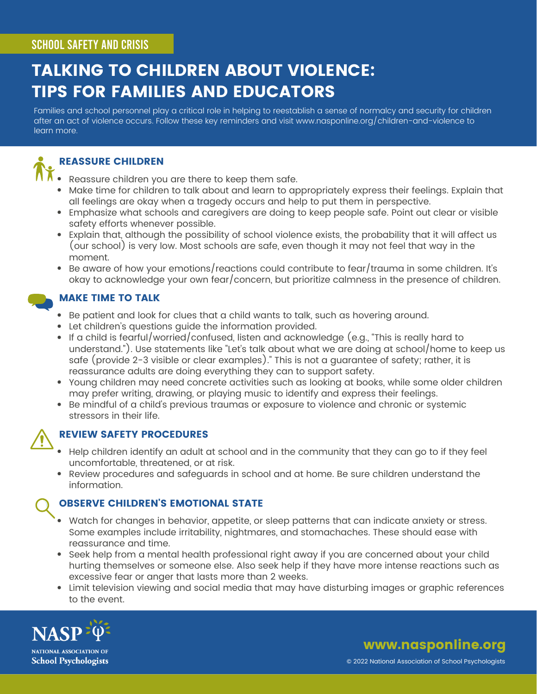#### SCHOOL SAFETY AND CRISIS

## TALKING TO CHILDREN ABOUT VIOLENCE: TIPS FOR FAMILIES AND EDUCATORS

Families and school personnel play a critical role in helping to reestablish a sense of normalcy and security for children after an act of violence occurs. Follow these key reminders and visit [www.nasponline.org/children-and-violence](http://www.nasponline.org/children-and-violence) to learn more.



#### REASSURE CHILDREN

- Reassure children you are there to keep them safe.
- Make time for children to talk about and learn to appropriately express their feelings. Explain that all feelings are okay when a tragedy occurs and help to put them in perspective.
- Emphasize what schools and caregivers are doing to keep people safe. Point out clear or visible safety efforts whenever possible.
- Explain that, although the possibility of school violence exists, the probability that it will affect us (our school) is very low. Most schools are safe, even though it may not feel that way in the moment.
- $\bullet$  Be aware of how your emotions/reactions could contribute to fear/trauma in some children. It's okay to acknowledge your own fear/concern, but prioritize calmness in the presence of children.

#### MAKE TIME TO TALK

- Be patient and look for clues that a child wants to talk, such as hovering around.
- Let children's questions guide the information provided.
- $\bullet$  If a child is fearful/worried/confused, listen and acknowledge (e.g., "This is really hard to understand."). Use statements like "Let's talk about what we are doing at school/home to keep us safe (provide 2-3 visible or clear examples)." This is not a guarantee of safety; rather, it is reassurance adults are doing everything they can to support safety.
- Young children may need concrete activities such as looking at books, while some older children may prefer writing, drawing, or playing music to identify and express their feelings.
- Be mindful of a child's previous traumas or exposure to violence and chronic or systemic stressors in their life.



#### REVIEW SAFETY PROCEDURES

- Help children identify an adult at school and in the community that they can go to if they feel uncomfortable, threatened, or at risk.
- Review procedures and safeguards in school and at home. Be sure children understand the information.

#### OBSERVE CHILDREN'S EMOTIONAL STATE

- Watch for changes in behavior, appetite, or sleep patterns that can indicate anxiety or stress. Some examples include irritability, nightmares, and stomachaches. These should ease with reassurance and time.
- Seek help from a mental health professional right away if you are concerned about your child hurting themselves or someone else. Also seek help if they have more intense reactions such as excessive fear or anger that lasts more than 2 weeks.
- Limit television viewing and social media that may have disturbing images or graphic references to the event.



www.nasponline.org